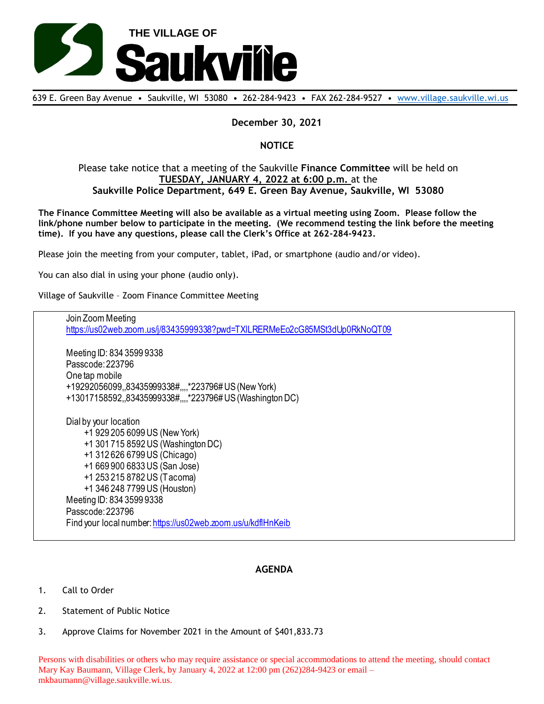

639 E. Green Bay Avenue • Saukville, WI 53080 • 262-284-9423 • FAX 262-284-9527 • [www.village.saukville.wi.us](http://www.village.saukville.wi.us/)

## **December 30, 2021**

# **NOTICE**

### Please take notice that a meeting of the Saukville **Finance Committee** will be held on **TUESDAY, JANUARY 4, 2022 at 6:00 p.m.** at the **Saukville Police Department, 649 E. Green Bay Avenue, Saukville, WI 53080**

**The Finance Committee Meeting will also be available as a virtual meeting using Zoom. Please follow the link/phone number below to participate in the meeting. (We recommend testing the link before the meeting time). If you have any questions, please call the Clerk's Office at 262-284-9423.**

Please join the meeting from your computer, tablet, iPad, or smartphone (audio and/or video).

You can also dial in using your phone (audio only).

Village of Saukville – Zoom Finance Committee Meeting

Join Zoom Meeting https://us02web.zoom.us/j/83435999338?pwd=TXlLRERMeEo2cG85MSt3dUp0RkNoQT09 Meeting ID: 834 3599 9338 Passcode: 223796 One tap mobile +19292056099,,83435999338#,,,,\*223796# US (New York) +13017158592,,83435999338#,,,,\*223796# US (Washington DC) Dial by your location +1 929 205 6099 US (New York) +1 301 715 8592 US (Washington DC) +1 312 626 6799 US (Chicago) +1 669 900 6833 US (San Jose) +1 253 215 8782 US (Tacoma) +1 346 248 7799 US (Houston) Meeting ID: 834 3599 9338 Passcode: 223796 Find your local number: https://us02web.zoom.us/u/kdflHnKeib

### **AGENDA**

- 1. Call to Order
- 2. Statement of Public Notice
- 3. Approve Claims for November 2021 in the Amount of \$401,833.73

Persons with disabilities or others who may require assistance or special accommodations to attend the meeting, should contact Mary Kay Baumann, Village Clerk, by January 4, 2022 at 12:00 pm (262)284-9423 or email – mkbaumann@village.saukville.wi.us.